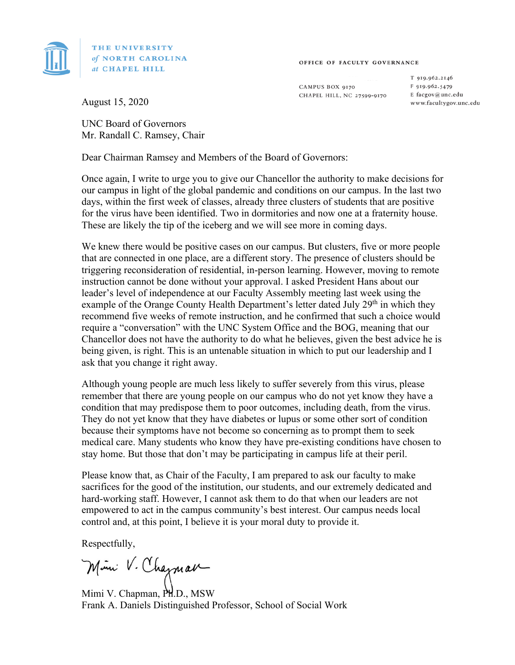

THE UNIVERSITY of NORTH CAROLINA at CHAPEL HILL

## OFFICE OF FACULTY GOVERNANCE

CAMPUS BOX 9170 CHAPEL HILL, NC 27599-9170 E facgov@unc.edu

T 919.962.2146 F 919.962.5479 www.facultygov.unc.edu

August 15, 2020

UNC Board of Governors Mr. Randall C. Ramsey, Chair

Dear Chairman Ramsey and Members of the Board of Governors:

Once again, I write to urge you to give our Chancellor the authority to make decisions for our campus in light of the global pandemic and conditions on our campus. In the last two days, within the first week of classes, already three clusters of students that are positive for the virus have been identified. Two in dormitories and now one at a fraternity house. These are likely the tip of the iceberg and we will see more in coming days.

We knew there would be positive cases on our campus. But clusters, five or more people that are connected in one place, are a different story. The presence of clusters should be triggering reconsideration of residential, in-person learning. However, moving to remote instruction cannot be done without your approval. I asked President Hans about our leader's level of independence at our Faculty Assembly meeting last week using the example of the Orange County Health Department's letter dated July 29<sup>th</sup> in which they recommend five weeks of remote instruction, and he confirmed that such a choice would require a "conversation" with the UNC System Office and the BOG, meaning that our Chancellor does not have the authority to do what he believes, given the best advice he is being given, is right. This is an untenable situation in which to put our leadership and I ask that you change it right away.

Although young people are much less likely to suffer severely from this virus, please remember that there are young people on our campus who do not yet know they have a condition that may predispose them to poor outcomes, including death, from the virus. They do not yet know that they have diabetes or lupus or some other sort of condition because their symptoms have not become so concerning as to prompt them to seek medical care. Many students who know they have pre-existing conditions have chosen to stay home. But those that don't may be participating in campus life at their peril.

Please know that, as Chair of the Faculty, I am prepared to ask our faculty to make sacrifices for the good of the institution, our students, and our extremely dedicated and hard-working staff. However, I cannot ask them to do that when our leaders are not empowered to act in the campus community's best interest. Our campus needs local control and, at this point, I believe it is your moral duty to provide it.

Respectfully,

Mimi V. Chapman, Ph.D., MSW

Frank A. Daniels Distinguished Professor, School of Social Work